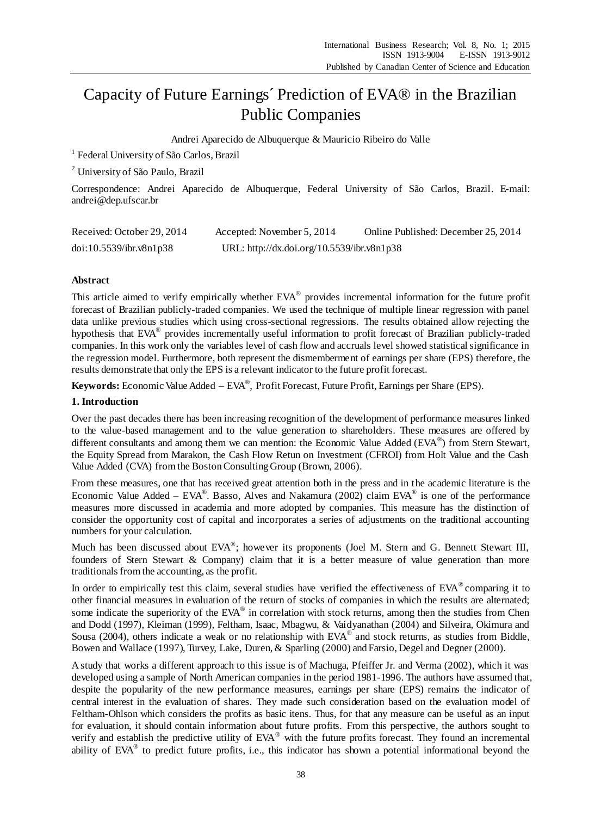# Capacity of Future Earnings´ Prediction of EVA® in the Brazilian Public Companies

Andrei Aparecido de Albuquerque & Mauricio Ribeiro do Valle

<sup>1</sup> Federal University of S ão Carlos, Brazil

<sup>2</sup> University of São Paulo, Brazil

Correspondence: Andrei Aparecido de Albuquerque, Federal University of São Carlos, Brazil. E-mail: andrei@dep.ufscar.br

| Received: October 29, 2014 | Accepted: November 5, 2014                 | Online Published: December 25, 2014 |
|----------------------------|--------------------------------------------|-------------------------------------|
| doi:10.5539/ibr.v8n1p38    | URL: http://dx.doi.org/10.5539/ibr.v8n1p38 |                                     |

### **Abstract**

This article aimed to verify empirically whether EVA® provides incremental information for the future profit forecast of Brazilian publicly-traded companies. We used the technique of multiple linear regression with panel data unlike previous studies which using cross-sectional regressions. The results obtained allow rejecting the hypothesis that EVA® provides incrementally useful information to profit forecast of Brazilian publicly-traded companies. In this work only the variables level of cash flow and accruals level showed statistical significance in the regression model. Furthermore, both represent the dismemberment of earnings per share (EPS) therefore, the results demonstrate that only the EPS is a relevant indicator to the future profit forecast.

**Keywords:** Economic Value Added – EVA® , Profit Forecast, Future Profit, Earnings per Share (EPS).

#### **1. Introduction**

Over the past decades there has been increasing recognition of the development of performance measures linked to the value-based management and to the value generation to shareholders. These measures are offered by different consultants and among them we can mention: the Economic Value Added (EVA®) from Stern Stewart, the Equity Spread from Marakon, the Cash Flow Retun on Investment (CFROI) from Holt Value and the Cash Value Added (CVA) from the Boston Consulting Group (Brown, 2006).

From these measures, one that has received great attention both in the press and in the academic literature is the Economic Value Added –  $EVA^{\circ}$ . Basso, Alves and Nakamura (2002) claim  $EVA^{\circ}$  is one of the performance measures more discussed in academia and more adopted by companies. This measure has the distinction of consider the opportunity cost of capital and incorporates a series of adjustments on the traditional accounting numbers for your calculation.

Much has been discussed about EVA®; however its proponents (Joel M. Stern and G. Bennett Stewart III, founders of Stern Stewart & Company) claim that it is a better measure of value generation than more traditionals from the accounting, as the profit.

In order to empirically test this claim, several studies have verified the effectiveness of EVA® comparing it to other financial measures in evaluation of the return of stocks of companies in which the results are alternated; some indicate the superiority of the EVA® in correlation with stock returns, among then the studies from Chen and Dodd (1997), Kleiman (1999), Feltham, Isaac, Mbagwu, & Vaidyanathan (2004) and Silveira, Okimura and Sousa (2004), others indicate a weak or no relationship with  $EVA^{\circledast}$  and stock returns, as studies from Biddle, Bowen and Wallace (1997), Turvey, Lake, Duren, & Sparling (2000) and Farsio, Degel and Degner (2000).

A study that works a different approach to this issue is of Machuga, Pfeiffer Jr. and Verma (2002), which it was developed using a sample of North American companies in the period 1981-1996. The authors have assumed that, despite the popularity of the new performance measures, earnings per share (EPS) remains the indicator of central interest in the evaluation of shares. They made such consideration based on the evaluation model of Feltham-Ohlson which considers the profits as basic itens. Thus, for that any measure can be useful as an input for evaluation, it should contain information about future profits. From this perspective, the authors sought to verify and establish the predictive utility of EVA® with the future profits forecast. They found an incremental ability of EVA<sup>®</sup> to predict future profits, i.e., this indicator has shown a potential informational beyond the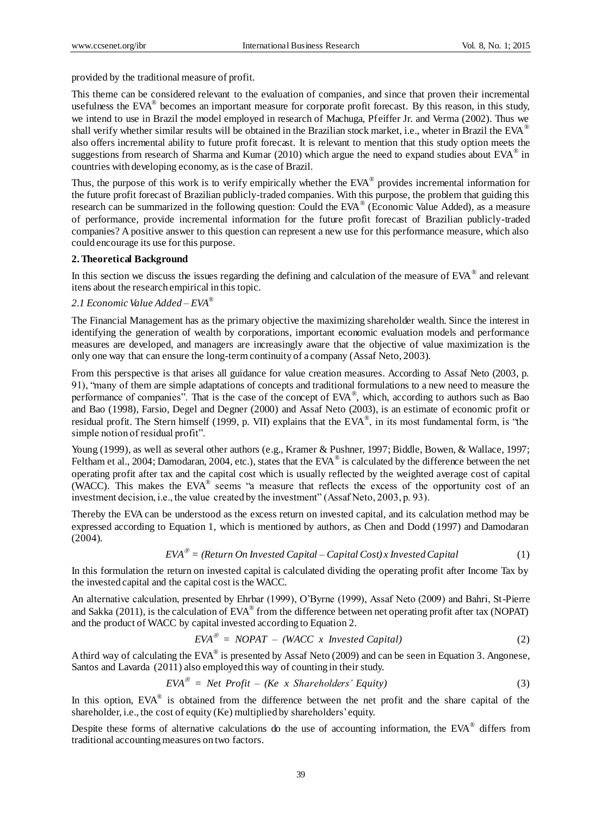provided by the traditional measure of profit.

This theme can be considered relevant to the evaluation of companies, and since that proven their incremental usefulness the  $EVA^{\circledast}$  becomes an important measure for corporate profit forecast. By this reason, in this study, we intend to use in Brazil the model employed in research of Machuga, Pfeiffer Jr. and Verma (2002). Thus we shall verify whether similar results will be obtained in the Brazilian stock market, i.e., wheter in Brazil the EVA<sup>®</sup> also offers incremental ability to future profit forecast. It is relevant to mention that this study option meets the suggestions from research of Sharma and Kumar (2010) which argue the need to expand studies about  $EVA^{\circledast}$  in countries with developing economy, as is the case of Brazil.

Thus, the purpose of this work is to verify empirically whether the  $EVA^{\circledast}$  provides incremental information for the future profit forecast of Brazilian publicly-traded companies. With this purpose, the problem that guiding this research can be summarized in the following question: Could the EVA<sup>®</sup> (Economic Value Added), as a measure of performance, provide incremental information for the future profit forecast of Brazilian publicly-traded companies? A positive answer to this question can represent a new use for this performance measure, which also could encourage its use for this purpose.

#### **2. Theoretical Background**

In this section we discuss the issues regarding the defining and calculation of the measure of EVA<sup>®</sup> and relevant itens about the research empirical in this topic.

# *2.1 Economic Value Added – EVA®*

The Financial Management has as the primary objective the maximizing shareholder wealth. Since the interest in identifying the generation of wealth by corporations, important economic evaluation models and performance measures are developed, and managers are increasingly aware that the objective of value maximization is the only one way that can ensure the long-term continuity of a company (Assaf Neto, 2003).

From this perspective is that arises all guidance for value creation measures. According to Assaf Neto (2003, p. 91), "many of them are simple adaptations of concepts and traditional formulations to a new need to measure the performance of companies". That is the case of the concept of EVA®, which, according to authors such as Bao and Bao (1998), Farsio, Degel and Degner (2000) and Assaf Neto (2003), is an estimate of economic profit or residual profit. The Stern himself (1999, p. VII) explains that the EVA®, in its most fundamental form, is "the simple notion of residual profit".

Young (1999), as well as several other authors (e.g., Kramer & Pushner, 1997; Biddle, Bowen, & Wallace, 1997; Feltham et al., 2004; Damodaran, 2004, etc.), states that the EVA $^{\circ}$  is calculated by the difference between the net operating profit after tax and the capital cost which is usually reflected by the weighted average cost of capital (WACC). This makes the EVA® seems "a measure that reflects the excess of the opportunity cost of an investment decision, i.e., the value created by the investment" (Assaf Neto, 2003, p. 93).

Thereby the EVA can be understood as the excess return on invested capital, and its calculation method may be expressed according to Equation 1, which is mentioned by authors, as Chen and Dodd (1997) and Damodaran (2004).

$$
EVA^{\circ\circ} = (Return\ On\ Investig{Capital} - Capital\ Cost) \times Investig{Capital} \tag{1}
$$

In this formulation the return on invested capital is calculated dividing the operating profit after Income Tax by the invested capital and the capital cost is the WACC.

An alternative calculation, presented by Ehrbar (1999), O'Byrne (1999), Assaf Neto (2009) and Bahri, St-Pierre and Sakka (2011), is the calculation of EVA® from the difference between net operating profit after tax (NOPAT) and the product of WACC by capital invested according to Equation 2.

$$
EVA^{\circledast} = NOPAT - (WACC \times Invested Capital)
$$
 (2)

A third way of calculating the EVA<sup>®</sup> is presented by Assaf Neto (2009) and can be seen in Equation 3. Angonese, Santos and Lavarda (2011) also employed this way of counting in their study.

$$
EVA^{\circledast} = Net Profit - (Ke \times Sharedholders' Equity)
$$
 (3)

In this option,  $EVA^{\circledast}$  is obtained from the difference between the net profit and the share capital of the shareholder, i.e., the cost of equity (Ke) multiplied by shareholders'equity.

Despite these forms of alternative calculations do the use of accounting information, the EVA® differs from traditional accounting measures on two factors.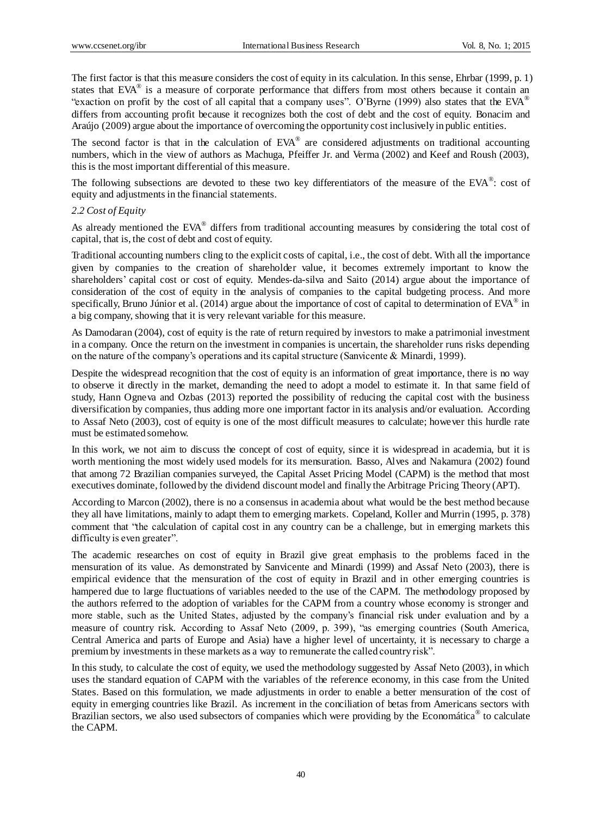The first factor is that this measure considers the cost of equity in its calculation. In this sense, Ehrbar (1999, p. 1) states that EVA® is a measure of corporate performance that differs from most others because it contain an "exaction on profit by the cost of all capital that a company uses". O'Byrne (1999) also states that the EVA<sup>®</sup> differs from accounting profit because it recognizes both the cost of debt and the cost of equity. Bonacim and Araújo (2009) argue about the importance of overcoming the opportunity cost inclusively in public entities.

The second factor is that in the calculation of  $EVA^{\circledast}$  are considered adjustments on traditional accounting numbers, which in the view of authors as Machuga, Pfeiffer Jr. and Verma (2002) and Keef and Roush (2003), this is the most important differential of this measure.

The following subsections are devoted to these two key differentiators of the measure of the EVA®: cost of equity and adjustments in the financial statements.

#### *2.2 Cost of Equity*

As already mentioned the EVA® differs from traditional accounting measures by considering the total cost of capital, that is, the cost of debt and cost of equity.

Traditional accounting numbers cling to the explicit costs of capital, i.e., the cost of debt. With all the importance given by companies to the creation of shareholder value, it becomes extremely important to know the shareholders' capital cost or cost of equity. Mendes-da-silva and Saito (2014) argue about the importance of consideration of the cost of equity in the analysis of companies to the capital budgeting process. And more specifically, Bruno J únior et al. (2014) argue about the importance of cost of capital to determination of EVA $^{\circ}$  in a big company, showing that it is very relevant variable for this measure.

As Damodaran (2004), cost of equity is the rate of return required by investors to make a patrimonial investment in a company. Once the return on the investment in companies is uncertain, the shareholder runs risks depending on the nature of the company's operations and its capital structure (Sanvicente  $\&$  Minardi, 1999).

Despite the widespread recognition that the cost of equity is an information of great importance, there is no way to observe it directly in the market, demanding the need to adopt a model to estimate it. In that same field of study, Hann Ogneva and Ozbas (2013) reported the possibility of reducing the capital cost with the business diversification by companies, thus adding more one important factor in its analysis and/or evaluation. According to Assaf Neto (2003), cost of equity is one of the most difficult measures to calculate; however this hurdle rate must be estimated somehow.

In this work, we not aim to discuss the concept of cost of equity, since it is widespread in academia, but it is worth mentioning the most widely used models for its mensuration. Basso, Alves and Nakamura (2002) found that among 72 Brazilian companies surveyed, the Capital Asset Pricing Model (CAPM) is the method that most executives dominate, followed by the dividend discount model and finally the Arbitrage Pricing Theory (APT).

According to Marcon (2002), there is no a consensus in academia about what would be the best method because they all have limitations, mainly to adapt them to emerging markets. Copeland, Koller and Murrin (1995, p. 378) comment that "the calculation of capital cost in any country can be a challenge, but in emerging markets this difficulty is even greater".

The academic researches on cost of equity in Brazil give great emphasis to the problems faced in the mensuration of its value. As demonstrated by Sanvicente and Minardi (1999) and Assaf Neto (2003), there is empirical evidence that the mensuration of the cost of equity in Brazil and in other emerging countries is hampered due to large fluctuations of variables needed to the use of the CAPM. The methodology proposed by the authors referred to the adoption of variables for the CAPM from a country whose economy is stronger and more stable, such as the United States, adjusted by the company's financial risk under evaluation and by a measure of country risk. According to Assaf Neto (2009, p. 399), "as emerging countries (South America, Central America and parts of Europe and Asia) have a higher level of uncertainty, it is necessary to charge a premium by investments in these markets as a way to remunerate the called country risk".

In this study, to calculate the cost of equity, we used the methodology suggested by Assaf Neto (2003), in which uses the standard equation of CAPM with the variables of the reference economy, in this case from the United States. Based on this formulation, we made adjustments in order to enable a better mensuration of the cost of equity in emerging countries like Brazil. As increment in the conciliation of betas from Americans sectors with Brazilian sectors, we also used subsectors of companies which were providing by the Econom áica® to calculate the CAPM.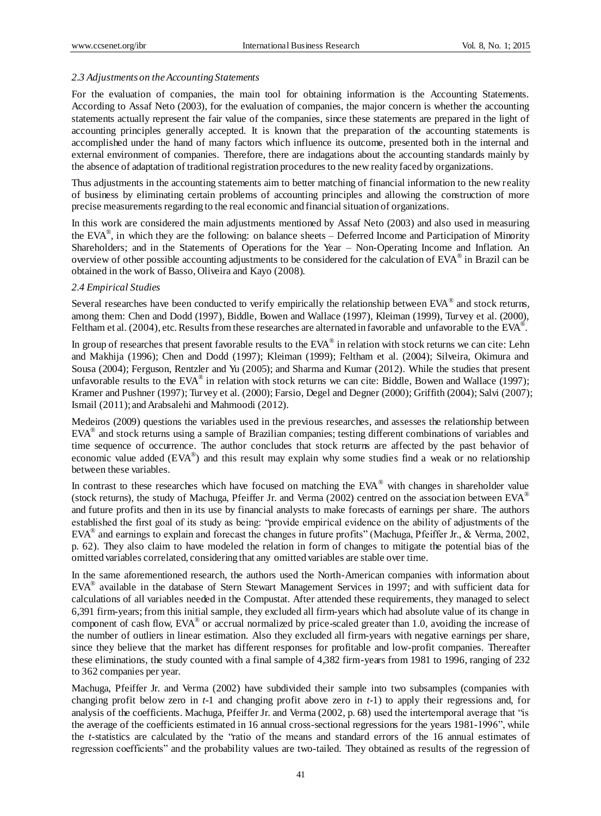#### *2.3 Adjustments on the Accounting Statements*

For the evaluation of companies, the main tool for obtaining information is the Accounting Statements. According to Assaf Neto (2003), for the evaluation of companies, the major concern is whether the accounting statements actually represent the fair value of the companies, since these statements are prepared in the light of accounting principles generally accepted. It is known that the preparation of the accounting statements is accomplished under the hand of many factors which influence its outcome, presented both in the internal and external environment of companies. Therefore, there are indagations about the accounting standards mainly by the absence of adaptation of traditional registration procedures to the new reality faced by organizations.

Thus adjustments in the accounting statements aim to better matching of financial information to the new reality of business by eliminating certain problems of accounting principles and allowing the construction of more precise measurements regarding to the real economic and financial situation of organizations.

In this work are considered the main adjustments mentioned by Assaf Neto (2003) and also used in measuring the EVA®, in which they are the following: on balance sheets – Deferred Income and Participation of Minority Shareholders; and in the Statements of Operations for the Year – Non-Operating Income and Inflation. An overview of other possible accounting adjustments to be considered for the calculation of EVA® in Brazil can be obtained in the work of Basso, Oliveira and Kayo (2008).

#### *2.4 Empirical Studies*

Several researches have been conducted to verify empirically the relationship between EVA® and stock returns, among them: Chen and Dodd (1997), Biddle, Bowen and Wallace (1997), Kleiman (1999), Turvey et al. (2000), Feltham et al. (2004), etc. Results from these researches are alternated in favorable and unfavorable to the EVA<sup>®</sup>.

In group of researches that present favorable results to the  $EVA^{\circledast}$  in relation with stock returns we can cite: Lehn and Makhija (1996); Chen and Dodd (1997); Kleiman (1999); Feltham et al. (2004); Silveira, Okimura and Sousa (2004); Ferguson, Rentzler and Yu (2005); and Sharma and Kumar (2012). While the studies that present unfavorable results to the EVA<sup>®</sup> in relation with stock returns we can cite: Biddle, Bowen and Wallace (1997); Kramer and Pushner (1997); Turvey et al. (2000); Farsio, Degel and Degner (2000); Griffith (2004); Salvi (2007); Ismail (2011); and Arabsalehi and Mahmoodi (2012).

Medeiros (2009) questions the variables used in the previous researches, and assesses the relationship between EVA® and stock returns using a sample of Brazilian companies; testing different combinations of variables and time sequence of occurrence. The author concludes that stock returns are affected by the past behavior of economic value added (EVA®) and this result may explain why some studies find a weak or no relationship between these variables.

In contrast to these researches which have focused on matching the EVA<sup>®</sup> with changes in shareholder value (stock returns), the study of Machuga, Pfeiffer Jr. and Verma (2002) centred on the association between EVA<sup>®</sup> and future profits and then in its use by financial analysts to make forecasts of earnings per share. The authors established the first goal of its study as being: "provide empirical evidence on the ability of adjustments of the EVA<sup>®</sup> and earnings to explain and forecast the changes in future profits" (Machuga, Pfeiffer Jr., & Verma, 2002, p. 62). They also claim to have modeled the relation in form of changes to mitigate the potential bias of the omitted variables correlated, considering that any omitted variables are stable over time.

In the same aforementioned research, the authors used the North-American companies with information about EVA® available in the database of Stern Stewart Management Services in 1997; and with sufficient data for calculations of all variables needed in the Compustat. After attended these requirements, they managed to select 6,391 firm-years; from this initial sample, they excluded all firm-years which had absolute value of its change in component of cash flow, EVA® or accrual normalized by price-scaled greater than 1.0, avoiding the increase of the number of outliers in linear estimation. Also they excluded all firm-years with negative earnings per share, since they believe that the market has different responses for profitable and low-profit companies. Thereafter these eliminations, the study counted with a final sample of 4,382 firm-years from 1981 to 1996, ranging of 232 to 362 companies per year.

Machuga, Pfeiffer Jr. and Verma (2002) have subdivided their sample into two subsamples (companies with changing profit below zero in *t*-1 and changing profit above zero in *t*-1) to apply their regressions and, for analysis of the coefficients. Machuga, Pfeiffer Jr. and Verma (2002, p. 68) used the intertemporal average that "is the average of the coefficients estimated in 16 annual cross-sectional regressions for the years 1981-1996", while the *t*-statistics are calculated by the "ratio of the means and standard errors of the 16 annual estimates of regression coefficients" and the probability values are two-tailed. They obtained as results of the regression of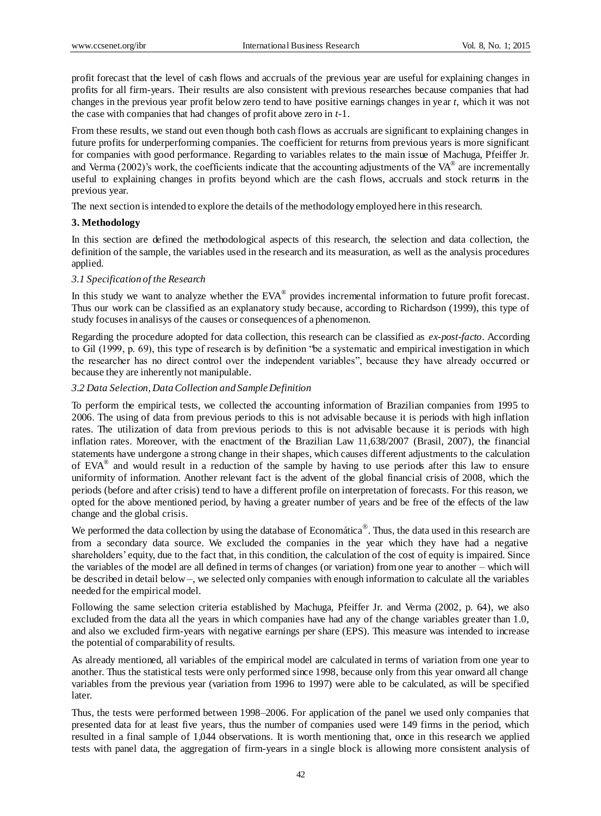profit forecast that the level of cash flows and accruals of the previous year are useful for explaining changes in profits for all firm-years. Their results are also consistent with previous researches because companies that had changes in the previous year profit below zero tend to have positive earnings changes in year *t*, which it was not the case with companies that had changes of profit above zero in *t*-1.

From these results, we stand out even though both cash flows as accruals are significant to explaining changes in future profits for underperforming companies. The coefficient for returns from previous years is more significant for companies with good performance. Regarding to variables relates to the main issue of Machuga, Pfeiffer Jr. and Verma (2002)'s work, the coefficients indicate that the accounting adjustments of the VA $^{\circ}$  are incrementally useful to explaining changes in profits beyond which are the cash flows, accruals and stock returns in the previous year.

The next section is intended to explore the details of the methodology employed here in this research.

#### **3. Methodology**

In this section are defined the methodological aspects of this research, the selection and data collection, the definition of the sample, the variables used in the research and its measuration, as well as the analysis procedures applied.

#### *3.1 Specification of the Research*

In this study we want to analyze whether the EVA® provides incremental information to future profit forecast. Thus our work can be classified as an explanatory study because, according to Richardson (1999), this type of study focuses in analisys of the causes or consequences of a phenomenon.

Regarding the procedure adopted for data collection, this research can be classified as *ex-post-facto*. According to Gil (1999, p. 69), this type of research is by definition "be a systematic and empirical investigation in which the researcher has no direct control over the independent variables", because they have already occurred or because they are inherently not manipulable.

#### *3.2 Data Selection, Data Collection and Sample Definition*

To perform the empirical tests, we collected the accounting information of Brazilian companies from 1995 to 2006. The using of data from previous periods to this is not advisable because it is periods with high inflation rates. The utilization of data from previous periods to this is not advisable because it is periods with high inflation rates. Moreover, with the enactment of the Brazilian Law 11,638/2007 (Brasil, 2007), the financial statements have undergone a strong change in their shapes, which causes different adjustments to the calculation of EVA® and would result in a reduction of the sample by having to use periods after this law to ensure uniformity of information. Another relevant fact is the advent of the global financial crisis of 2008, which the periods (before and after crisis) tend to have a different profile on interpretation of forecasts. For this reason, we opted for the above mentioned period, by having a greater number of years and be free of the effects of the law change and the global crisis.

We performed the data collection by using the database of Econom *á*tica®. Thus, the data used in this research are from a secondary data source. We excluded the companies in the year which they have had a negative shareholders' equity, due to the fact that, in this condition, the calculation of the cost of equity is impaired. Since the variables of the model are all defined in terms of changes (or variation) from one year to another – which will be described in detail below –, we selected only companies with enough information to calculate all the variables needed for the empirical model.

Following the same selection criteria established by Machuga, Pfeiffer Jr. and Verma (2002, p. 64), we also excluded from the data all the years in which companies have had any of the change variables greater than 1.0, and also we excluded firm-years with negative earnings per share (EPS). This measure was intended to increase the potential of comparability of results.

As already mentioned, all variables of the empirical model are calculated in terms of variation from one year to another. Thus the statistical tests were only performed since 1998, because only from this year onward all change variables from the previous year (variation from 1996 to 1997) were able to be calculated, as will be specified later.

Thus, the tests were performed between 1998–2006. For application of the panel we used only companies that presented data for at least five years, thus the number of companies used were 149 firms in the period, which resulted in a final sample of 1,044 observations. It is worth mentioning that, once in this research we applied tests with panel data, the aggregation of firm-years in a single block is allowing more consistent analysis of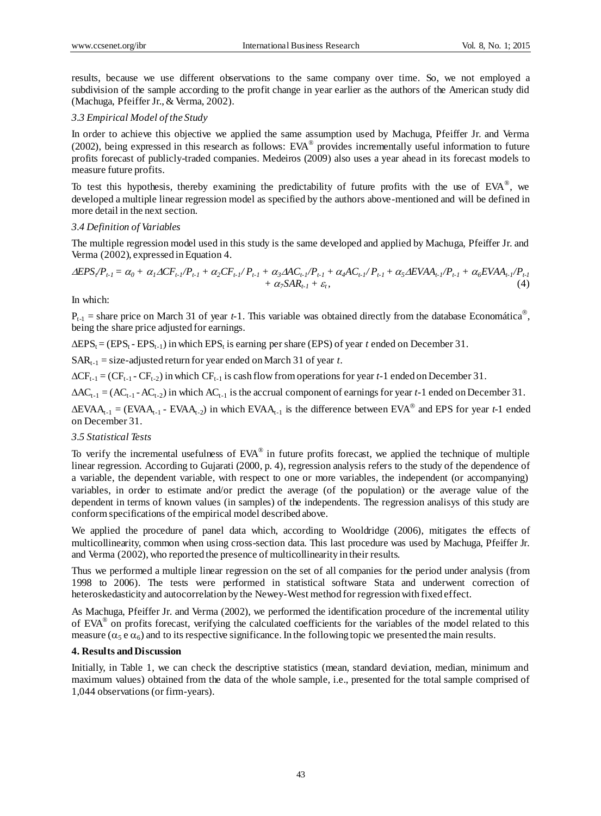results, because we use different observations to the same company over time. So, we not employed a subdivision of the sample according to the profit change in year earlier as the authors of the American study did (Machuga, Pfeiffer Jr., & Verma, 2002).

#### *3.3 Empirical Model of the Study*

In order to achieve this objective we applied the same assumption used by Machuga, Pfeiffer Jr. and Verma (2002), being expressed in this research as follows:  $EVA^{\circledast}$  provides incrementally useful information to future profits forecast of publicly-traded companies. Medeiros (2009) also uses a year ahead in its forecast models to measure future profits.

To test this hypothesis, thereby examining the predictability of future profits with the use of  $EVA^{\circledast}$ , we developed a multiple linear regression model as specified by the authors above-mentioned and will be defined in more detail in the next section.

#### *3.4 Definition of Variables*

The multiple regression model used in this study is the same developed and applied by Machuga, Pfeiffer Jr. and Verma (2002), expressed in Equation 4.

$$
\Delta EPS_{i}/P_{t-1} = \alpha_0 + \alpha_1 \Delta CF_{t-1}/P_{t-1} + \alpha_2 CF_{t-1}/P_{t-1} + \alpha_3 \Delta AC_{t-1}/P_{t-1} + \alpha_4 AC_{t-1}/P_{t-1} + \alpha_5 \Delta EVAA_{t-1}/P_{t-1} + \alpha_6 EVAA_{t-1}/P_{t-1} + \alpha_7 SAR_{t-1} + \varepsilon_t,
$$
\n(4)

In which:

 $P_{t-1}$  = share price on March 31 of year *t*-1. This variable was obtained directly from the database Econom at ica<sup>®</sup>, being the share price adjusted for earnings.

 $\triangle EPS_t = (EPS_t - EPS_{t-1})$  in which  $EPS_t$  is earning per share (EPS) of year *t* ended on December 31.

 $SAR_{t-1}$  = size-adjusted return for year ended on March 31 of year *t*.

 $\Delta CF_{t-1} = (CF_{t-1} - CF_{t-2})$  in which  $CF_{t-1}$  is cash flow from operations for year *t*-1 ended on December 31.

 $\Delta AC_{t-1} = (AC_{t-1} - AC_{t-2})$  in which  $AC_{t-1}$  is the accrual component of earnings for year *t*-1 ended on December 31.

 $\triangle EVAA_{t-1} = (EVAA_{t-1} - EVAA_{t-2})$  in which  $EVAA_{t-1}$  is the difference between  $EVA^{\otimes}$  and EPS for year *t*-1 ended on December 31.

#### *3.5 Statistical Tests*

To verify the incremental usefulness of  $EVA^{\circledast}$  in future profits forecast, we applied the technique of multiple linear regression. According to Gujarati (2000, p. 4), regression analysis refers to the study of the dependence of a variable, the dependent variable, with respect to one or more variables, the independent (or accompanying) variables, in order to estimate and/or predict the average (of the population) or the average value of the dependent in terms of known values (in samples) of the independents. The regression analisys of this study are conform specifications of the empirical model described above.

We applied the procedure of panel data which, according to Wooldridge (2006), mitigates the effects of multicollinearity, common when using cross-section data. This last procedure was used by Machuga, Pfeiffer Jr. and Verma (2002), who reported the presence of multicollinearity in their results.

Thus we performed a multiple linear regression on the set of all companies for the period under analysis (from 1998 to 2006). The tests were performed in statistical software Stata and underwent correction of heteroskedasticity and autocorrelation by the Newey-West method for regression with fixed effect.

As Machuga, Pfeiffer Jr. and Verma (2002), we performed the identification procedure of the incremental utility of EVA® on profits forecast, verifying the calculated coefficients for the variables of the model related to this measure ( $\alpha_5$  e  $\alpha_6$ ) and to its respective significance. In the following topic we presented the main results.

#### **4. Results and Discussion**

Initially, in Table 1, we can check the descriptive statistics (mean, standard deviation, median, minimum and maximum values) obtained from the data of the whole sample, i.e., presented for the total sample comprised of 1,044 observations (or firm-years).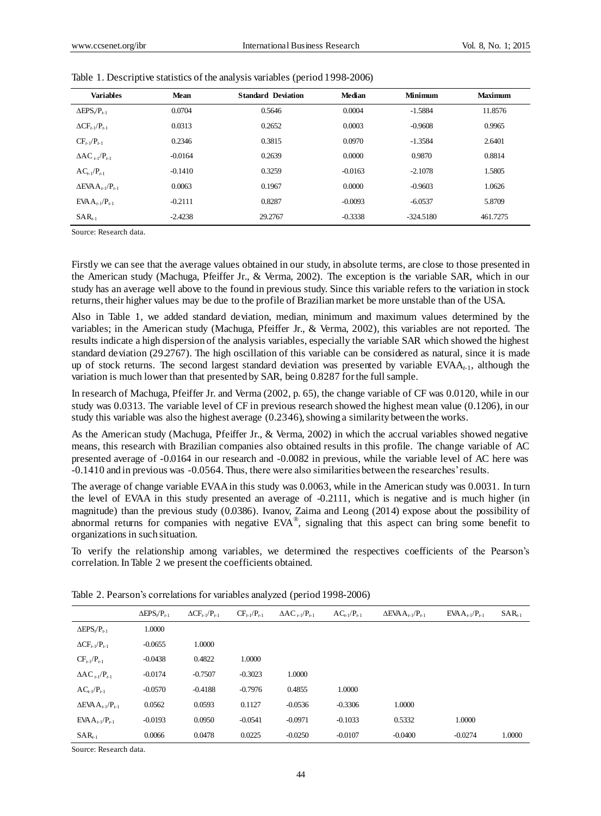| <b>Variables</b>                           | Mean      | <b>Standard Deviation</b> | Median    | Minimum   | <b>Maximum</b> |
|--------------------------------------------|-----------|---------------------------|-----------|-----------|----------------|
| $\Delta$ EPS/P <sub><math>t-1</math></sub> | 0.0704    | 0.5646                    | 0.0004    | $-1.5884$ | 11.8576        |
| $\Delta CF_{t-1}/P_{t-1}$                  | 0.0313    | 0.2652                    | 0.0003    | $-0.9608$ | 0.9965         |
| $CF_{t-1}/P_{t-1}$                         | 0.2346    | 0.3815                    | 0.0970    | $-1.3584$ | 2.6401         |
| $\Delta AC_{t-1}/P_{t-1}$                  | $-0.0164$ | 0.2639                    | 0.0000    | 0.9870    | 0.8814         |
| $AC_{t-1}/P_{t-1}$                         | $-0.1410$ | 0.3259                    | $-0.0163$ | $-2.1078$ | 1.5805         |
| $\Delta$ EVA $A_{t-1}/P_{t-1}$             | 0.0063    | 0.1967                    | 0.0000    | $-0.9603$ | 1.0626         |
| $EVAA_{t-1}/P_{t-1}$                       | $-0.2111$ | 0.8287                    | $-0.0093$ | $-6.0537$ | 5.8709         |
| $SAR_{t-1}$                                | $-2.4238$ | 29.2767                   | $-0.3338$ | -324.5180 | 461.7275       |

| Table 1. Descriptive statistics of the analysis variables (period 1998-2006) |  |  |  |
|------------------------------------------------------------------------------|--|--|--|
|                                                                              |  |  |  |

Source: Research data.

Firstly we can see that the average values obtained in our study, in absolute terms, are close to those presented in the American study (Machuga, Pfeiffer Jr., & Verma, 2002). The exception is the variable SAR, which in our study has an average well above to the found in previous study. Since this variable refers to the variation in stock returns, their higher values may be due to the profile of Brazilian market be more unstable than of the USA.

Also in Table 1, we added standard deviation, median, minimum and maximum values determined by the variables; in the American study (Machuga, Pfeiffer Jr., & Verma, 2002), this variables are not reported. The results indicate a high dispersion of the analysis variables, especially the variable SAR which showed the highest standard deviation (29.2767). The high oscillation of this variable can be considered as natural, since it is made up of stock returns. The second largest standard deviation was presented by variable EVAA*t*-1 , although the variation is much lower than that presented by SAR, being 0.8287 for the full sample.

In research of Machuga, Pfeiffer Jr. and Verma (2002, p. 65), the change variable of CF was 0.0120, while in our study was 0.0313. The variable level of CF in previous research showed the highest mean value (0.1206), in our study this variable was also the highest average (0.2346), showing a similarity between the works.

As the American study (Machuga, Pfeiffer Jr., & Verma, 2002) in which the accrual variables showed negative means, this research with Brazilian companies also obtained results in this profile. The change variable of AC presented average of -0.0164 in our research and -0.0082 in previous, while the variable level of AC here was -0.1410 and in previous was -0.0564. Thus, there were also similarities between the researches' results.

The average of change variable EVAA in this study was 0.0063, while in the American study was 0.0031. In turn the level of EVAA in this study presented an average of -0.2111, which is negative and is much higher (in magnitude) than the previous study (0.0386). Ivanov, Zaima and Leong (2014) expose about the possibility of abnormal returns for companies with negative  $EVA^{\circledast}$ , signaling that this aspect can bring some benefit to organizations in such situation.

To verify the relationship among variables, we determined the respectives coefficients of the Pearson's correlation. In Table 2 we present the coefficients obtained.

|                                             | $\Delta$ EPS/P <sub>t-1</sub> | $\Delta CF_{t-1}/P_{t-1}$ | $CF_{t-1}/P_{t-1}$ | $\Delta AC_{t-1}/P_{t-1}$ | $AC_{t-1}/P_{t-1}$ | $\Delta$ EVA $A_{t-1}$ / $P_{t-1}$ | $EVAA_{t-1}/P_{t-1}$ | $SAR_{t-1}$ |
|---------------------------------------------|-------------------------------|---------------------------|--------------------|---------------------------|--------------------|------------------------------------|----------------------|-------------|
| $\Delta$ EPS <sub>r</sub> /P <sub>t-1</sub> | 1.0000                        |                           |                    |                           |                    |                                    |                      |             |
| $\Delta CF_{t-1}/P_{t-1}$                   | $-0.0655$                     | 1.0000                    |                    |                           |                    |                                    |                      |             |
| $CF_{t-1}/P_{t-1}$                          | $-0.0438$                     | 0.4822                    | 1.0000             |                           |                    |                                    |                      |             |
| $\Delta AC_{t-1}/P_{t-1}$                   | $-0.0174$                     | $-0.7507$                 | $-0.3023$          | 1.0000                    |                    |                                    |                      |             |
| $AC_{t-1}/P_{t-1}$                          | $-0.0570$                     | $-0.4188$                 | $-0.7976$          | 0.4855                    | 1.0000             |                                    |                      |             |
| $\Delta$ EVA $A_{t-1}$ / $P_{t-1}$          | 0.0562                        | 0.0593                    | 0.1127             | $-0.0536$                 | $-0.3306$          | 1.0000                             |                      |             |
| $EVAA_{t-1}/P_{t-1}$                        | $-0.0193$                     | 0.0950                    | $-0.0541$          | $-0.0971$                 | $-0.1033$          | 0.5332                             | 1.0000               |             |
| $SAR_{t-1}$                                 | 0.0066                        | 0.0478                    | 0.0225             | $-0.0250$                 | $-0.0107$          | $-0.0400$                          | $-0.0274$            | 1.0000      |

Table 2. Pearson's correlations for variables analyzed (period 1998-2006)

Source: Research data.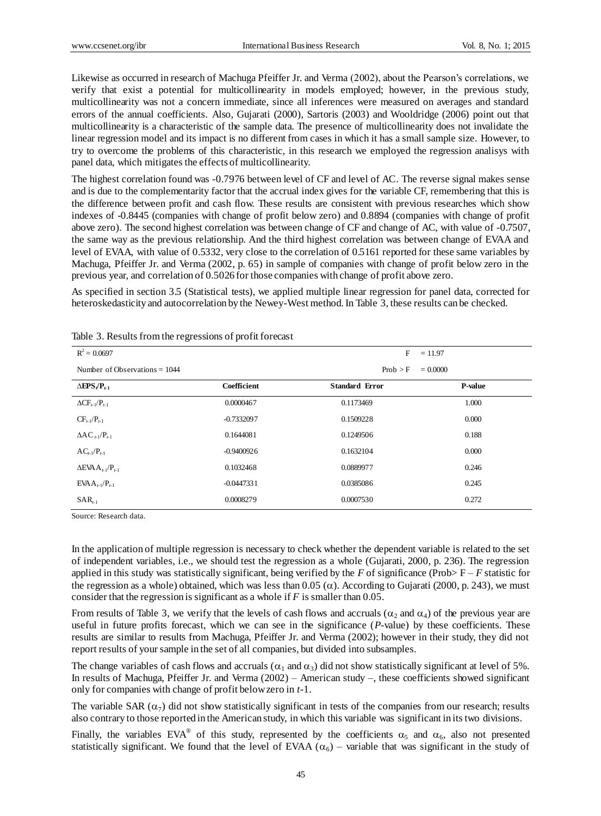Likewise as occurred in research of Machuga Pfeiffer Jr. and Verma (2002), about the Pearson's correlations, we verify that exist a potential for multicollinearity in models employed; however, in the previous study, multicollinearity was not a concern immediate, since all inferences were measured on averages and standard errors of the annual coefficients. Also, Gujarati (2000), Sartoris (2003) and Wooldridge (2006) point out that multicollinearity is a characteristic of the sample data. The presence of multicollinearity does not invalidate the linear regression model and its impact is no different from cases in which it has a small sample size. However, to try to overcome the problems of this characteristic, in this research we employed the regression analisys with panel data, which mitigates the effects of multicollinearity.

The highest correlation found was -0.7976 between level of CF and level of AC. The reverse signal makes sense and is due to the complementarity factor that the accrual index gives for the variable CF, remembering that this is the difference between profit and cash flow. These results are consistent with previous researches which show indexes of -0.8445 (companies with change of profit below zero) and 0.8894 (companies with change of profit above zero). The second highest correlation was between change of CF and change of AC, with value of -0.7507, the same way as the previous relationship. And the third highest correlation was between change of EVAA and level of EVAA, with value of 0.5332, very close to the correlation of 0.5161 reported for these same variables by Machuga, Pfeiffer Jr. and Verma (2002, p. 65) in sample of companies with change of profit below zero in the previous year, and correlation of 0.5026 for those companies with change of profit above zero.

As specified in section 3.5 (Statistical tests), we applied multiple linear regression for panel data, corrected for heteroskedasticity and autocorrelation by the Newey-West method. In Table 3, these results can be checked.

| $R^2 = 0.0697$                     |              | F                     | $= 11.97$  |
|------------------------------------|--------------|-----------------------|------------|
| Number of Observations $= 1044$    |              | Prob > F              | $= 0.0000$ |
| $\triangle EPS_{t}$ / $P_{t-1}$    | Coefficient  | <b>Standard Error</b> | P-value    |
| $\Delta CF_{t-1}/P_{t-1}$          | 0.0000467    | 0.1173469             | 1.000      |
| $CF_{t-1}/P_{t-1}$                 | $-0.7332097$ | 0.1509228             | 0.000      |
| $\Delta AC_{L1}/P_{L1}$            | 0.1644081    | 0.1249506             | 0.188      |
| $AC_{t-1}/P_{t-1}$                 | $-0.9400926$ | 0.1632104             | 0.000      |
| $\Delta$ EVA $A_{t-1}$ / $P_{t-1}$ | 0.1032468    | 0.0889977             | 0.246      |
| $EVAA_{t-1}/P_{t-1}$               | $-0.0447331$ | 0.0385086             | 0.245      |
| $SAR_{t-1}$                        | 0.0008279    | 0.0007530             | 0.272      |

Table 3. Results from the regressions of profit forecast

Source: Research data.

In the application of multiple regression is necessary to check whether the dependent variable is related to the set of independent variables, i.e., we should test the regression as a whole (Gujarati, 2000, p. 236). The regression applied in this study was statistically significant, being verified by the  $F$  of significance (Prob $\geq F - F$  statistic for the regression as a whole) obtained, which was less than  $0.05 \ (\alpha)$ . According to Gujarati (2000, p. 243), we must consider that the regression is significant as a whole if *F* is smaller than 0.05.

From results of Table 3, we verify that the levels of cash flows and accruals ( $\alpha_2$  and  $\alpha_4$ ) of the previous year are useful in future profits forecast, which we can see in the significance (*P*-value) by these coefficients. These results are similar to results from Machuga, Pfeiffer Jr. and Verma (2002); however in their study, they did not report results of your sample in the set of all companies, but divided into subsamples.

The change variables of cash flows and accruals ( $\alpha_1$  and  $\alpha_3$ ) did not show statistically significant at level of 5%. In results of Machuga, Pfeiffer Jr. and Verma (2002) – American study –, these coefficients showed significant only for companies with change of profit below zero in *t*-1.

The variable SAR  $(\alpha_7)$  did not show statistically significant in tests of the companies from our research; results also contrary to those reported in the American study, in which this variable was significant in its two divisions.

Finally, the variables EVA® of this study, represented by the coefficients  $\alpha_5$  and  $\alpha_6$ , also not presented statistically significant. We found that the level of EVAA  $(\alpha_6)$  – variable that was significant in the study of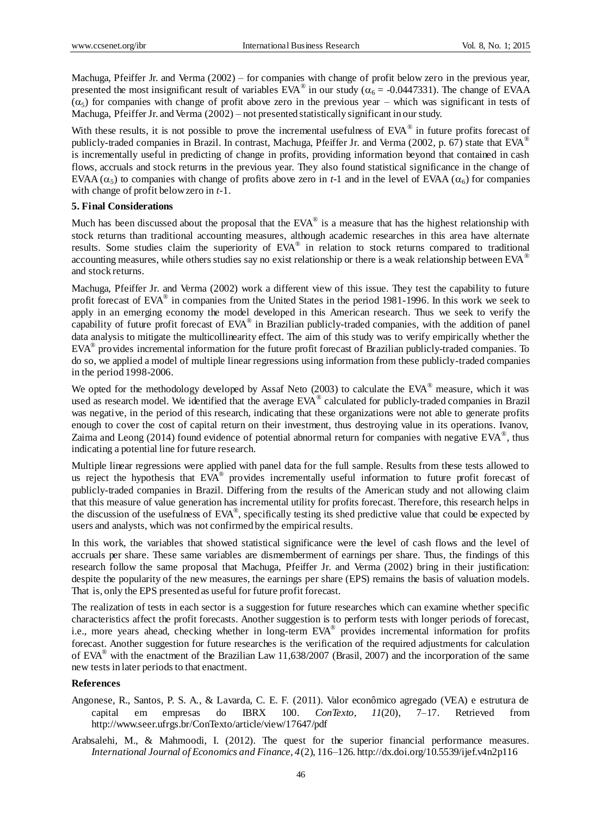Machuga, Pfeiffer Jr. and Verma (2002) – for companies with change of profit below zero in the previous year, presented the most insignificant result of variables  $EVA^{\circledast}$  in our study ( $\alpha_6 = -0.0447331$ ). The change of EVAA  $(\alpha_5)$  for companies with change of profit above zero in the previous year – which was significant in tests of Machuga, Pfeiffer Jr. and Verma (2002) – not presented statistically significant in our study.

With these results, it is not possible to prove the incremental usefulness of EVA® in future profits forecast of publicly-traded companies in Brazil. In contrast, Machuga, Pfeiffer Jr. and Verma (2002, p. 67) state that EVA<sup>®</sup> is incrementally useful in predicting of change in profits, providing information beyond that contained in cash flows, accruals and stock returns in the previous year. They also found statistical significance in the change of EVAA ( $\alpha_5$ ) to companies with change of profits above zero in *t*-1 and in the level of EVAA ( $\alpha_6$ ) for companies with change of profit below zero in *t*-1.

## **5. Final Considerations**

Much has been discussed about the proposal that the EVA® is a measure that has the highest relationship with stock returns than traditional accounting measures, although academic researches in this area have alternate results. Some studies claim the superiority of EVA® in relation to stock returns compared to traditional accounting measures, while others studies say no exist relationship or there is a weak relationship between EVA<sup>®</sup> and stock returns.

Machuga, Pfeiffer Jr. and Verma (2002) work a different view of this issue. They test the capability to future profit forecast of EVA® in companies from the United States in the period 1981-1996. In this work we seek to apply in an emerging economy the model developed in this American research. Thus we seek to verify the capability of future profit forecast of EVA® in Brazilian publicly-traded companies, with the addition of panel data analysis to mitigate the multicollinearity effect. The aim of this study was to verify empirically whether the EVA® provides incremental information for the future profit forecast of Brazilian publicly-traded companies. To do so, we applied a model of multiple linear regressions using information from these publicly-traded companies in the period 1998-2006.

We opted for the methodology developed by Assaf Neto (2003) to calculate the EVA<sup>®</sup> measure, which it was used as research model. We identified that the average EVA® calculated for publicly-traded companies in Brazil was negative, in the period of this research, indicating that these organizations were not able to generate profits enough to cover the cost of capital return on their investment, thus destroying value in its operations. Ivanov, Zaima and Leong (2014) found evidence of potential abnormal return for companies with negative EVA<sup>®</sup>, thus indicating a potential line for future research.

Multiple linear regressions were applied with panel data for the full sample. Results from these tests allowed to us reject the hypothesis that EVA® provides incrementally useful information to future profit forecast of publicly-traded companies in Brazil. Differing from the results of the American study and not allowing claim that this measure of value generation has incremental utility for profits forecast. Therefore, this research helps in the discussion of the usefulness of  $EVA^{\circledast}$ , specifically testing its shed predictive value that could be expected by users and analysts, which was not confirmed by the empirical results.

In this work, the variables that showed statistical significance were the level of cash flows and the level of accruals per share. These same variables are dismemberment of earnings per share. Thus, the findings of this research follow the same proposal that Machuga, Pfeiffer Jr. and Verma (2002) bring in their justification: despite the popularity of the new measures, the earnings per share (EPS) remains the basis of valuation models. That is, only the EPS presented as useful for future profit forecast.

The realization of tests in each sector is a suggestion for future researches which can examine whether specific characteristics affect the profit forecasts. Another suggestion is to perform tests with longer periods of forecast, i.e., more years ahead, checking whether in long-term EVA® provides incremental information for profits forecast. Another suggestion for future researches is the verification of the required adjustments for calculation of EVA® with the enactment of the Brazilian Law 11,638/2007 (Brasil, 2007) and the incorporation of the same new tests in later periods to that enactment.

#### **References**

- Angonese, R., Santos, P. S. A., & Lavarda, C. E. F. (2011). Valor econômico agregado (VEA) e estrutura de capital em empresas do IBRX 100. *ConTexto, 11*(20), 7–17. Retrieved from http://www.seer.ufrgs.br/ConTexto/article/view/17647/pdf
- Arabsalehi, M., & Mahmoodi, I. (2012). The quest for the superior financial performance measures. *International Journal of Economics and Finance, 4*(2), 116–126. http://dx.doi.org/10.5539/ijef.v4n2p116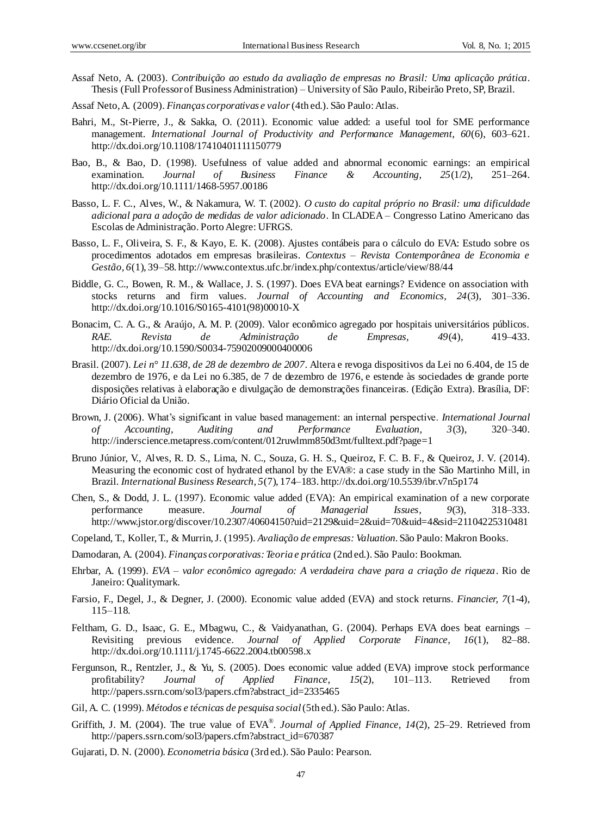- Assaf Neto, A. (2003). *Contribuição ao estudo da avaliação de empresas no Brasil: Uma aplicação prática*. Thesis (Full Professor of Business Administration) – University of São Paulo, Ribeirão Preto, SP, Brazil.
- Assaf Neto, A. (2009). *Finanças corporativas e valor*(4th ed.). São Paulo: Atlas.
- Bahri, M., St-Pierre, J., & Sakka, O. (2011). Economic value added: a useful tool for SME performance management. *International Journal of Productivity and Performance Management, 60*(6), 603–621. http://dx.doi.org/10.1108/17410401111150779
- Bao, B., & Bao, D. (1998). Usefulness of value added and abnormal economic earnings: an empirical examination. *Journal of Business Finance & Accounting, 25*(1/2), 251–264. http://dx.doi.org/10.1111/1468-5957.00186
- Basso, L. F. C., Alves, W., & Nakamura, W. T. (2002). *O custo do capital próprio no Brasil: uma dificuldade adicional para a adoção de medidas de valor adicionado*. In CLADEA – Congresso Latino Americano das Escolas de Administração. Porto Alegre: UFRGS.
- Basso, L. F., Oliveira, S. F., & Kayo, E. K. (2008). Ajustes contâbeis para o cálculo do EVA: Estudo sobre os procedimentos adotados em empresas brasileiras. *Contextus – Revista Contemporânea de Economia e Gestão, 6*(1), 39–58. http://www.contextus.ufc.br/index.php/contextus/article/view/88/44
- Biddle, G. C., Bowen, R. M., & Wallace, J. S. (1997). Does EVA beat earnings? Evidence on association with stocks returns and firm values. *Journal of Accounting and Economics, 24*(3), 301–336. http://dx.doi.org/10.1016/S0165-4101(98)00010-X
- Bonacim, C. A. G., & Araújo, A. M. P. (2009). Valor econômico agregado por hospitais universitários públicos. *RAE. Revista de Administração de Empresas, 49*(4), 419–433. http://dx.doi.org/10.1590/S0034-75902009000400006
- Brasil. (2007). *Lei n° 11.638, de 28 de dezembro de 2007*. Altera e revoga dispositivos da Lei no 6.404, de 15 de dezembro de 1976, e da Lei no 6.385, de 7 de dezembro de 1976, e estende às sociedades de grande porte disposições relativas à elaboração e divulgação de demonstrações financeiras. (Edição Extra). Brasília, DF: Diário Oficial da União.
- Brown, J. (2006). What's significant in value based management: an internal perspective. *International Journal of Accounting, Auditing and Performance Evaluation, 3*(3), 320–340. http://inderscience.metapress.com/content/012ruwlmm850d3mt/fulltext.pdf?page=1
- Bruno Júnior, V., Alves, R. D. S., Lima, N. C., Souza, G. H. S., Queiroz, F. C. B. F., & Queiroz, J. V. (2014). Measuring the economic cost of hydrated ethanol by the EVA®: a case study in the São Martinho Mill, in Brazil. *International Business Research, 5*(7), 174–183. http://dx.doi.org/10.5539/ibr.v7n5p174
- Chen, S., & Dodd, J. L. (1997). Economic value added (EVA): An empirical examination of a new corporate performance measure. *Journal of Managerial Issues, 9*(3), 318–333. http://www.jstor.org/discover/10.2307/40604150?uid=2129&uid=2&uid=70&uid=4&sid=21104225310481
- Copeland, T., Koller, T., & Murrin, J. (1995). *Avaliação de empresas: Valuation*. São Paulo: Makron Books.
- Damodaran, A. (2004). *Finanças corporativas: Teoria e prática* (2nd ed.). São Paulo: Bookman.
- Ehrbar, A. (1999). *EVA – valor econômico agregado: A verdadeira chave para a criação de riqueza*. Rio de Janeiro: Qualitymark.
- Farsio, F., Degel, J., & Degner, J. (2000). Economic value added (EVA) and stock returns. *Financier, 7*(1-4), 115–118.
- Feltham, G. D., Isaac, G. E., Mbagwu, C., & Vaidyanathan, G. (2004). Perhaps EVA does beat earnings Revisiting previous evidence. *Journal of Applied Corporate Finance, 16*(1), 82–88. http://dx.doi.org/10.1111/j.1745-6622.2004.tb00598.x
- Fergunson, R., Rentzler, J., & Yu, S. (2005). Does economic value added (EVA) improve stock performance profitability? *Journal of Applied Finance, 15*(2), 101–113. Retrieved from http://papers.ssrn.com/sol3/papers.cfm?abstract\_id=2335465
- Gil, A. C. (1999). *Métodos e técnicas de pesquisa social*(5th ed.). São Paulo: Atlas.
- Griffith, J. M. (2004). The true value of EVA®. *Journal of Applied Finance*, 14(2), 25–29. Retrieved from http://papers.ssrn.com/sol3/papers.cfm?abstract\_id=670387
- Gujarati, D. N. (2000). *Econometria básica* (3rd ed.). São Paulo: Pearson.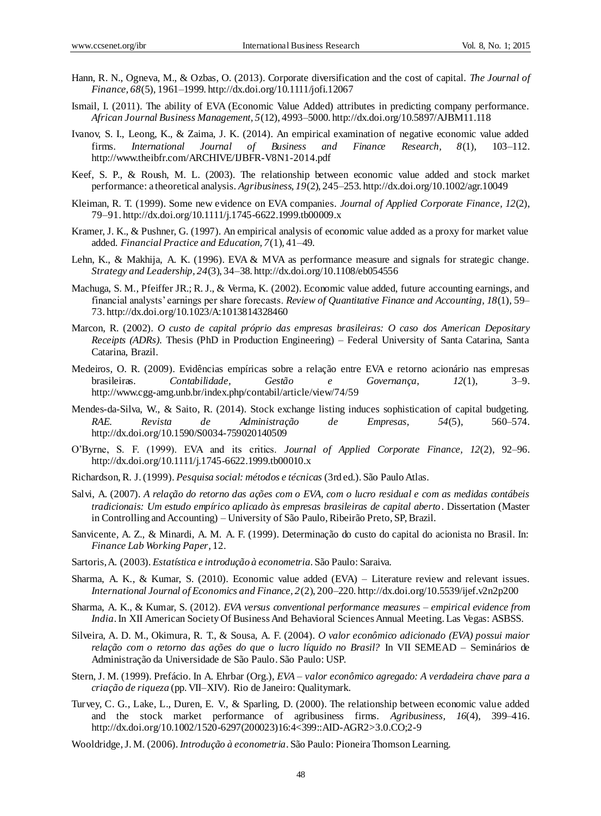- Hann, R. N., Ogneva, M., & Ozbas, O. (2013). Corporate diversification and the cost of capital. *The Journal of Finance, 68*(5), 1961–1999. http://dx.doi.org/10.1111/jofi.12067
- Ismail, I. (2011). The ability of EVA (Economic Value Added) attributes in predicting company performance. *African Journal Business Management, 5*(12), 4993–5000. http://dx.doi.org/10.5897/AJBM11.118
- Ivanov, S. I., Leong, K., & Zaima, J. K. (2014). An empirical examination of negative economic value added firms. *International Journal of Business and Finance Research, 8*(1), 103–112. http://www.theibfr.com/ARCHIVE/IJBFR-V8N1-2014.pdf
- Keef, S. P., & Roush, M. L. (2003). The relationship between economic value added and stock market performance: a theoretical analysis. *Agribusiness, 19*(2), 245–253. http://dx.doi.org/10.1002/agr.10049
- Kleiman, R. T. (1999). Some new evidence on EVA companies. *Journal of Applied Corporate Finance, 12*(2), 79–91. http://dx.doi.org/10.1111/j.1745-6622.1999.tb00009.x
- Kramer, J. K., & Pushner, G. (1997). An empirical analysis of economic value added as a proxy for market value added. *Financial Practice and Education, 7*(1), 41–49.
- Lehn, K., & Makhija, A. K. (1996). EVA & MVA as performance measure and signals for strategic change. *Strategy and Leadership, 24*(3), 34–38. http://dx.doi.org/10.1108/eb054556
- Machuga, S. M., Pfeiffer JR.; R. J., & Verma, K. (2002). Economic value added, future accounting earnings, and financial analysts' earnings per share forecasts. *Review of Quantitative Finance and Accounting, 18*(1), 59– 73. http://dx.doi.org/10.1023/A:1013814328460
- Marcon, R. (2002). *O custo de capital próprio das empresas brasileiras: O caso dos American Depositary Receipts (ADRs)*. Thesis (PhD in Production Engineering) – Federal University of Santa Catarina, Santa Catarina, Brazil.
- Medeiros, O. R. (2009). Evidências empíricas sobre a relação entre EVA e retorno acionário nas empresas brasileiras. *Contabilidade, Gestão e Governança, 12*(1), 3–9. http://www.cgg-amg.unb.br/index.php/contabil/article/view/74/59
- Mendes-da-Silva, W., & Saito, R. (2014). Stock exchange listing induces sophistication of capital budgeting. *RAE. Revista de Administração de Empresas, 54*(5), 560–574. http://dx.doi.org/10.1590/S0034-759020140509
- O'Byrne, S. F. (1999). EVA and its critics. *Journal of Applied Corporate Finance, 12*(2), 92–96. http://dx.doi.org/10.1111/j.1745-6622.1999.tb00010.x
- Richardson, R. J. (1999). *Pesquisa social: métodos e técnicas* (3rd ed.). São Paulo Atlas.
- Salvi, A. (2007). *A relação do retorno das ações com o EVA, com o lucro residual e com as medidas contábeis tradicionais: Um estudo empírico aplicado às empresas brasileiras de capital aberto*. Dissertation (Master in Controlling and Accounting) – University of São Paulo, Ribeirão Preto, SP, Brazil.
- Sanvicente, A. Z., & Minardi, A. M. A. F. (1999). Determinação do custo do capital do acionista no Brasil. In: *Finance Lab Working Paper*, 12.
- Sartoris, A. (2003). *Estatística e introdução à econometria*. São Paulo: Saraiva.
- Sharma, A. K., & Kumar, S. (2010). Economic value added (EVA) Literature review and relevant issues. *International Journal of Economics and Finance, 2*(2), 200–220. http://dx.doi.org/10.5539/ijef.v2n2p200
- Sharma, A. K., & Kumar, S. (2012). *EVA versus conventional performance measures – empirical evidence from India*. In XII American Society Of Business And Behavioral Sciences Annual Meeting. Las Vegas: ASBSS.
- Silveira, A. D. M., Okimura, R. T., & Sousa, A. F. (2004). *O valor econômico adicionado (EVA) possui maior relação com o retorno das ações do que o lucro líquido no Brasil?* In VII SEMEAD – Seminários de Administração da Universidade de São Paulo. São Paulo: USP.
- Stern, J. M. (1999). Prefácio. In A. Ehrbar (Org.), *EVA – valor econômico agregado: A verdadeira chave para a criação de riqueza* (pp. VII–XIV). Rio de Janeiro: Qualitymark.
- Turvey, C. G., Lake, L., Duren, E. V., & Sparling, D. (2000). The relationship between economic value added and the stock market performance of agribusiness firms. *Agribusiness, 16*(4), 399–416. http://dx.doi.org/10.1002/1520-6297(200023)16:4<399::AID-AGR2>3.0.CO;2-9
- Wooldridge, J. M. (2006). *Introdução à econometria*. São Paulo: Pioneira Thomson Learning.